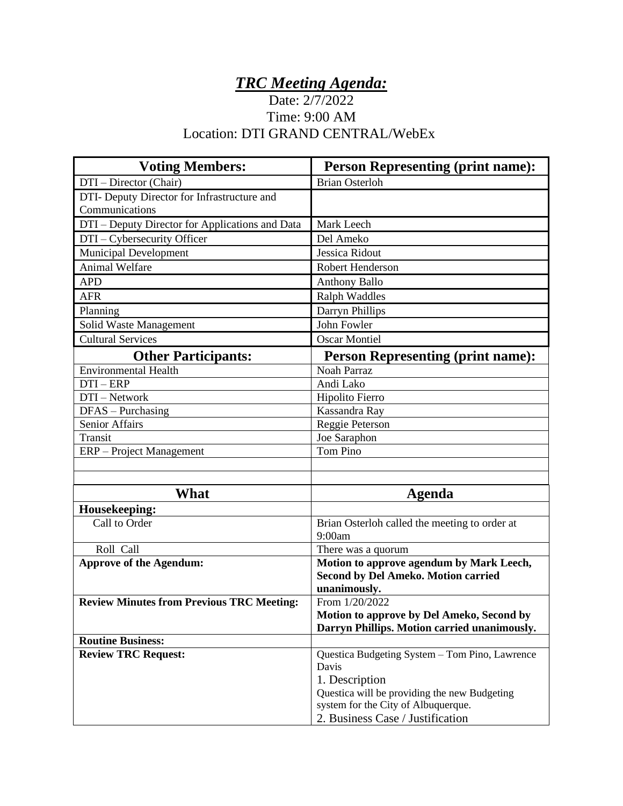## *TRC Meeting Agenda:*

## Date: 2/7/2022 Time: 9:00 AM Location: DTI GRAND CENTRAL/WebEx

| <b>Voting Members:</b>                           | <b>Person Representing (print name):</b>                                                               |
|--------------------------------------------------|--------------------------------------------------------------------------------------------------------|
| DTI - Director (Chair)                           | <b>Brian Osterloh</b>                                                                                  |
| DTI- Deputy Director for Infrastructure and      |                                                                                                        |
| Communications                                   |                                                                                                        |
| DTI - Deputy Director for Applications and Data  | Mark Leech                                                                                             |
| DTI - Cybersecurity Officer                      | Del Ameko                                                                                              |
| Municipal Development                            | Jessica Ridout                                                                                         |
| <b>Animal Welfare</b>                            | <b>Robert Henderson</b>                                                                                |
| <b>APD</b>                                       | <b>Anthony Ballo</b>                                                                                   |
| <b>AFR</b>                                       | <b>Ralph Waddles</b>                                                                                   |
| Planning                                         | Darryn Phillips                                                                                        |
| Solid Waste Management                           | John Fowler                                                                                            |
| <b>Cultural Services</b>                         | <b>Oscar Montiel</b>                                                                                   |
| <b>Other Participants:</b>                       | <b>Person Representing (print name):</b>                                                               |
| <b>Environmental Health</b>                      | <b>Noah Parraz</b>                                                                                     |
| $DTI - ERP$                                      | Andi Lako                                                                                              |
| DTI - Network                                    | Hipolito Fierro                                                                                        |
| DFAS - Purchasing                                | Kassandra Ray                                                                                          |
| <b>Senior Affairs</b>                            | Reggie Peterson                                                                                        |
| Transit                                          | Joe Saraphon                                                                                           |
| ERP – Project Management                         | Tom Pino                                                                                               |
|                                                  |                                                                                                        |
|                                                  |                                                                                                        |
| <b>What</b>                                      | Agenda                                                                                                 |
| Housekeeping:                                    |                                                                                                        |
| Call to Order                                    | Brian Osterloh called the meeting to order at<br>9:00am                                                |
| Roll Call                                        | There was a quorum                                                                                     |
| <b>Approve of the Agendum:</b>                   | Motion to approve agendum by Mark Leech,<br><b>Second by Del Ameko. Motion carried</b><br>unanimously. |
| <b>Review Minutes from Previous TRC Meeting:</b> | From 1/20/2022                                                                                         |
|                                                  | Motion to approve by Del Ameko, Second by                                                              |
|                                                  | Darryn Phillips. Motion carried unanimously.                                                           |
| <b>Routine Business:</b>                         |                                                                                                        |
| <b>Review TRC Request:</b>                       | Questica Budgeting System - Tom Pino, Lawrence                                                         |
|                                                  | Davis                                                                                                  |
|                                                  | 1. Description                                                                                         |
|                                                  | Questica will be providing the new Budgeting                                                           |
|                                                  | system for the City of Albuquerque.                                                                    |
|                                                  | 2. Business Case / Justification                                                                       |